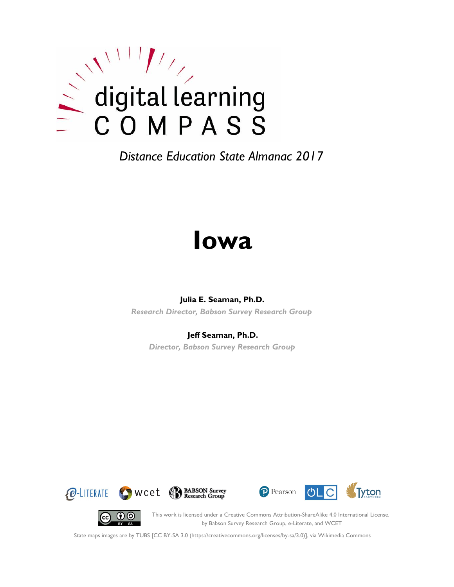

# **Iowa**

#### **Julia E. Seaman, Ph.D.**

*Research Director, Babson Survey Research Group*

#### **Jeff Seaman, Ph.D.**

*Director, Babson Survey Research Group*









This work is licensed under a Creative Commons Attribution-ShareAlike 4.0 International License. by Babson Survey Research Group, e-Literate, and WCET

State maps images are by TUBS [CC BY-SA 3.0 (https://creativecommons.org/licenses/by-sa/3.0)], via Wikimedia Commons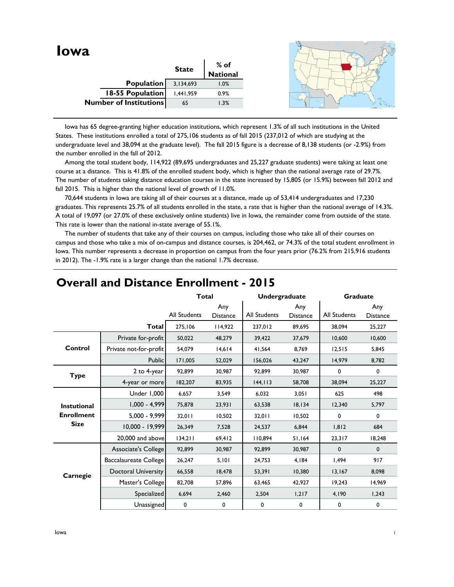|                               |                   | <b>State</b> | % of<br>National |  |
|-------------------------------|-------------------|--------------|------------------|--|
|                               | <b>Population</b> | 3,134,693    | 1.0%             |  |
|                               | 18-55 Population  | 1,441,959    | 0.9%             |  |
| <b>Number of Institutions</b> |                   | 65           | 1.3%             |  |

 Iowa has 65 degree-granting higher education institutions, which represent 1.3% of all such institutions in the United States. These institutions enrolled a total of 275,106 students as of fall 2015 (237,012 of which are studying at the undergraduate level and 38,094 at the graduate level). The fall 2015 figure is a decrease of 8,138 students (or -2.9%) from the number enrolled in the fall of 2012.

 Among the total student body, 114,922 (89,695 undergraduates and 25,227 graduate students) were taking at least one course at a distance. This is 41.8% of the enrolled student body, which is higher than the national average rate of 29.7%. The number of students taking distance education courses in the state increased by 15,805 (or 15.9%) between fall 2012 and fall 2015. This is higher than the national level of growth of 11.0%.

 70,644 students in Iowa are taking all of their courses at a distance, made up of 53,414 undergraduates and 17,230 graduates. This represents 25.7% of all students enrolled in the state, a rate that is higher than the national average of 14.3%. A total of 19,097 (or 27.0% of these exclusively online students) live in Iowa, the remainder come from outside of the state. This rate is lower than the national in-state average of 55.1%.

 The number of students that take any of their courses on campus, including those who take all of their courses on campus and those who take a mix of on-campus and distance courses, is 204,462, or 74.3% of the total student enrollment in lowa. This number represents a decrease in proportion on campus from the four years prior (76.2% from 215,916 students in 2012). The -1.9% rate is a larger change than the national 1.7% decrease.

|                                  |                            | <b>Total</b>        |                        | Undergraduate |                        | <b>Graduate</b> |                        |
|----------------------------------|----------------------------|---------------------|------------------------|---------------|------------------------|-----------------|------------------------|
|                                  |                            | <b>All Students</b> | Any<br><b>Distance</b> | All Students  | Any<br><b>Distance</b> | All Students    | Any<br><b>Distance</b> |
|                                  | Total                      | 275,106             | 114,922                | 237,012       | 89,695                 | 38,094          | 25,227                 |
|                                  | Private for-profit         | 50,022              | 48,279                 | 39,422        | 37,679                 | 10,600          | 10,600                 |
| Control                          | Private not-for-profit     | 54,079              | 14,614                 | 41,564        | 8,769                  | 12,515          | 5,845                  |
|                                  | Public                     | 171,005             | 52,029                 | 156,026       | 43,247                 | 14,979          | 8,782                  |
| <b>Type</b>                      | 2 to 4-year                | 92.899              | 30,987                 | 92.899        | 30,987                 | 0               | 0                      |
|                                  | 4-year or more             | 182,207             | 83,935                 | 144, 113      | 58,708                 | 38,094          | 25,227                 |
|                                  | Under 1,000                | 6,657               | 3,549                  | 6,032         | 3,051                  | 625             | 498                    |
| <b>Instutional</b>               | $1,000 - 4,999$            | 75,878              | 23,931                 | 63,538        | 18,134                 | 12,340          | 5,797                  |
| <b>Enrollment</b><br><b>Size</b> | $5,000 - 9,999$            | 32,011              | 10,502                 | 32,011        | 10,502                 | 0               | $\mathbf 0$            |
|                                  | $10,000 - 19,999$          | 26,349              | 7,528                  | 24.537        | 6.844                  | 1.812           | 684                    |
|                                  | 20,000 and above           | 134,211             | 69,412                 | 110,894       | 51,164                 | 23,317          | 18,248                 |
|                                  | Associate's College        | 92,899              | 30,987                 | 92,899        | 30,987                 | 0               | $\mathbf 0$            |
|                                  | Baccalaureate College      | 26,247              | 5,101                  | 24,753        | 4,184                  | 1,494           | 917                    |
| Carnegie                         | <b>Doctoral University</b> | 66,558              | 18,478                 | 53,391        | 10,380                 | 13,167          | 8,098                  |
|                                  | Master's College           | 82,708              | 57,896                 | 63,465        | 42,927                 | 19,243          | 14,969                 |
|                                  | Specialized                | 6,694               | 2,460                  | 2,504         | 1,217                  | 4,190           | 1,243                  |
|                                  | Unassigned                 | 0                   | 0                      | 0             | $\mathbf 0$            | 0               | 0                      |

### **Overall and Distance Enrollment - 2015**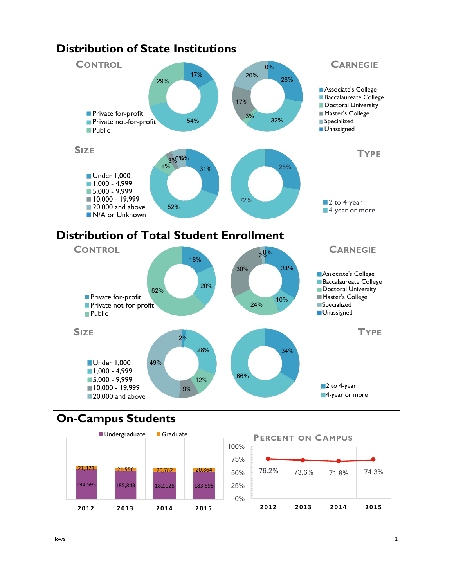

### **Distribution of State Institutions**





# **On-Campus Students**



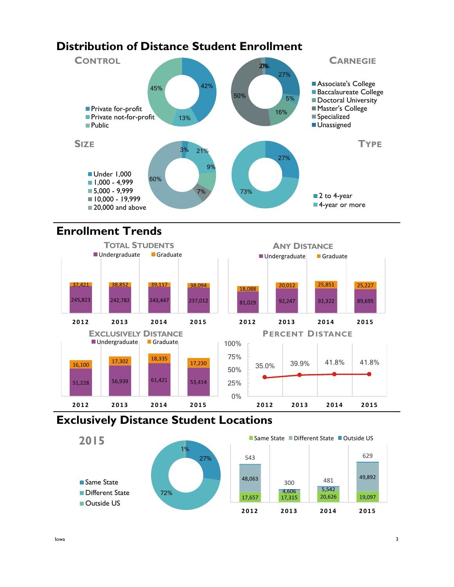# **Distribution of Distance Student Enrollment**



# **Enrollment Trends**



## **Exclusively Distance Student Locations**